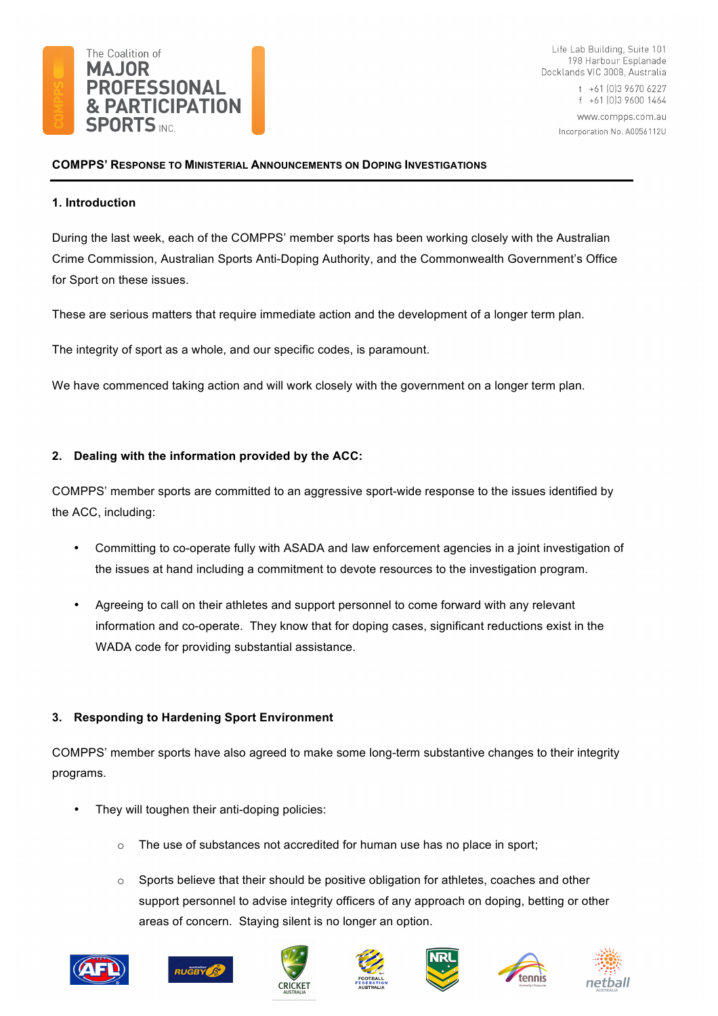

Life Lab Building, Suite 101 198 Harbour Esplanade Docklands VIC 3008, Australia t +61 [0] 3 9670 6227 f +61 (0)3 9600 1464 www.compps.com.au Incorporation No. A0056112U

## **COMPPS' RESPONSE TO MINISTERIAL ANNOUNCEMENTS ON DOPING INVESTIGATIONS**

## **1. Introduction**

During the last week, each of the COMPPS' member sports has been working closely with the Australian Crime Commission, Australian Sports Anti-Doping Authority, and the Commonwealth Government's Office for Sport on these issues.

These are serious matters that require immediate action and the development of a longer term plan.

The integrity of sport as a whole, and our specific codes, is paramount.

We have commenced taking action and will work closely with the government on a longer term plan.

## **2. Dealing with the information provided by the ACC:**

COMPPS' member sports are committed to an aggressive sport-wide response to the issues identified by the ACC, including:

- Committing to co-operate fully with ASADA and law enforcement agencies in a joint investigation of the issues at hand including a commitment to devote resources to the investigation program.
- Agreeing to call on their athletes and support personnel to come forward with any relevant information and co-operate. They know that for doping cases, significant reductions exist in the WADA code for providing substantial assistance.

## **3. Responding to Hardening Sport Environment**

COMPPS' member sports have also agreed to make some long-term substantive changes to their integrity programs.

- They will toughen their anti-doping policies:
	- $\circ$  The use of substances not accredited for human use has no place in sport;
	- $\circ$  Sports believe that their should be positive obligation for athletes, coaches and other support personnel to advise integrity officers of any approach on doping, betting or other areas of concern. Staying silent is no longer an option.